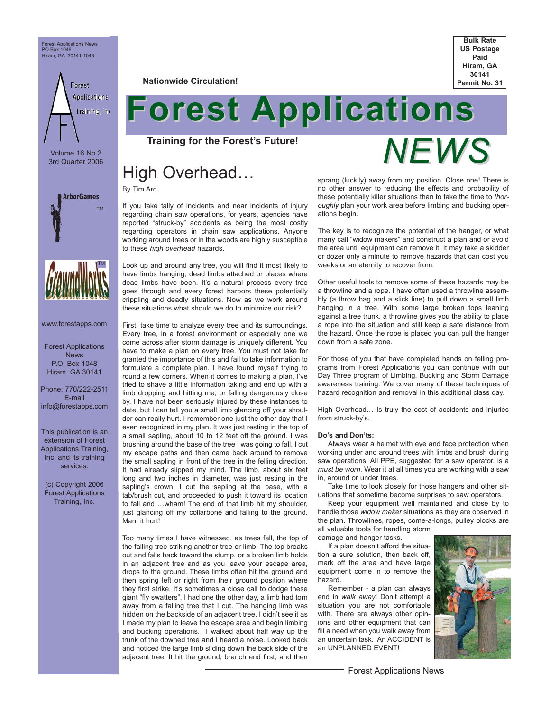Forest Applications News PO Box 1048 Hiram, GA 30141-1048

Forest **Applications** Training, Inc

Volume 16 No.2 3rd Quarter 2006





www.forestapps.com

Forest Applications News P.O. Box 1048 Hiram, GA 30141

Phone: 770/222-2511 E-mail info@forestapps.com

This publication is an extension of Forest Applications Training, Inc. and its training services.

(c) Copyright 2006 Forest Applications Training, Inc.

**Nationwide Circulation!**



# **Forest Applications**

**Training for the Forest's Future!**

# High Overhead…

By Tim Ard

If you take tally of incidents and near incidents of injury regarding chain saw operations, for years, agencies have reported "struck-by" accidents as being the most costly regarding operators in chain saw applications. Anyone working around trees or in the woods are highly susceptible to these *high overhead* hazards.

Look up and around any tree, you will find it most likely to have limbs hanging, dead limbs attached or places where dead limbs have been. It's a natural process every tree goes through and every forest harbors these potentially crippling and deadly situations. Now as we work around these situations what should we do to minimize our risk?

First, take time to analyze every tree and its surroundings. Every tree, in a forest environment or especially one we come across after storm damage is uniquely different. You have to make a plan on every tree. You must not take for granted the importance of this and fail to take information to formulate a complete plan. I have found myself trying to round a few corners. When it comes to making a plan, I've tried to shave a little information taking and end up with a limb dropping and hitting me, or falling dangerously close by. I have not been seriously injured by these instances to date, but I can tell you a small limb glancing off your shoulder can really hurt. I remember one just the other day that I even recognized in my plan. It was just resting in the top of a small sapling, about 10 to 12 feet off the ground. I was brushing around the base of the tree I was going to fall. I cut my escape paths and then came back around to remove the small sapling in front of the tree in the felling direction. It had already slipped my mind. The limb, about six feet long and two inches in diameter, was just resting in the sapling's crown. I cut the sapling at the base, with a tab/brush cut, and proceeded to push it toward its location to fall and …wham! The end of that limb hit my shoulder, just glancing off my collarbone and falling to the ground. Man, it hurt!

Too many times I have witnessed, as trees fall, the top of the falling tree striking another tree or limb. The top breaks out and falls back toward the stump, or a broken limb holds in an adjacent tree and as you leave your escape area, drops to the ground. These limbs often hit the ground and then spring left or right from their ground position where they first strike. It's sometimes a close call to dodge these giant "fly swatters". I had one the other day, a limb had torn away from a falling tree that I cut. The hanging limb was hidden on the backside of an adjacent tree. I didn't see it as I made my plan to leave the escape area and begin limbing and bucking operations. I walked about half way up the trunk of the downed tree and I heard a noise. Looked back and noticed the large limb sliding down the back side of the adjacent tree. It hit the ground, branch end first, and then



sprang (luckily) away from my position. Close one! There is no other answer to reducing the effects and probability of these potentially killer situations than to take the time to *thoroughly* plan your work area before limbing and bucking operations begin.

The key is to recognize the potential of the hanger, or what many call "widow makers" and construct a plan and or avoid the area until equipment can remove it. It may take a skidder or dozer only a minute to remove hazards that can cost you weeks or an eternity to recover from.

Other useful tools to remove some of these hazards may be a throwline and a rope. I have often used a throwline assembly (a throw bag and a slick line) to pull down a small limb hanging in a tree. With some large broken tops leaning against a tree trunk, a throwline gives you the ability to place a rope into the situation and still keep a safe distance from the hazard. Once the rope is placed you can pull the hanger down from a safe zone.

For those of you that have completed hands on felling programs from Forest Applications you can continue with our Day Three program of Limbing, Bucking and Storm Damage awareness training. We cover many of these techniques of hazard recognition and removal in this additional class day.

High Overhead… Is truly the cost of accidents and injuries from struck-by's.

#### **Do's and Don'ts:**

Always wear a helmet with eye and face protection when working under and around trees with limbs and brush during saw operations. All PPE, suggested for a saw operator, is a *must be worn*. Wear it at all times you are working with a saw in, around or under trees.

Take time to look closely for those hangers and other situations that sometime become surprises to saw operators.

Keep your equipment well maintained and close by to handle those *widow maker* situations as they are observed in the plan. Throwlines, ropes, come-a-longs, pulley blocks are all valuable tools for handling storm

damage and hanger tasks.

If a plan doesn't afford the situation a sure solution, then back off, mark off the area and have large equipment come in to remove the hazard.

Remember - a plan can always end in *walk away*! Don't attempt a situation you are not comfortable with. There are always other opinions and other equipment that can fill a need when you walk away from an uncertain task. An ACCIDENT is an UNPLANNED EVENT!

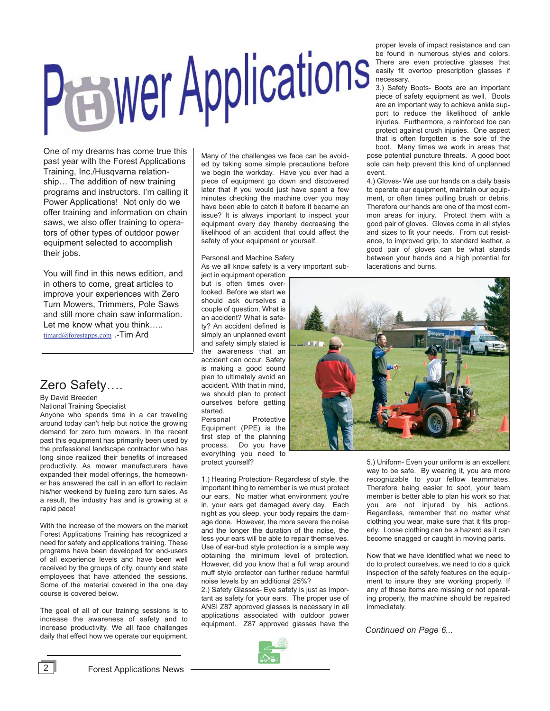# **Peawer Applications**

One of my dreams has come true this past year with the Forest Applications Training, Inc./Husqvarna relationship… The addition of new training programs and instructors. I'm calling it Power Applications! Not only do we offer training and information on chain saws, we also offer training to operators of other types of outdoor power equipment selected to accomplish their jobs.

You will find in this news edition, and in others to come, great articles to improve your experiences with Zero Turn Mowers, Trimmers, Pole Saws and still more chain saw information. Let me know what you think….. timard@forestapps.com .-Tim Ard

# Zero Safety….

By David Breeden

National Training Specialist

Anyone who spends time in a car traveling around today can't help but notice the growing demand for zero turn mowers. In the recent past this equipment has primarily been used by the professional landscape contractor who has long since realized their benefits of increased productivity. As mower manufacturers have expanded their model offerings, the homeowner has answered the call in an effort to reclaim his/her weekend by fueling zero turn sales. As a result, the industry has and is growing at a rapid pace!

With the increase of the mowers on the market Forest Applications Training has recognized a need for safety and applications training. These programs have been developed for end-users of all experience levels and have been well received by the groups of city, county and state employees that have attended the sessions. Some of the material covered in the one day course is covered below.

The goal of all of our training sessions is to increase the awareness of safety and to increase productivity. We all face challenges daily that effect how we operate our equipment. Many of the challenges we face can be avoided by taking some simple precautions before we begin the workday. Have you ever had a piece of equipment go down and discovered later that if you would just have spent a few minutes checking the machine over you may have been able to catch it before it became an issue? It is always important to inspect your equipment every day thereby decreasing the likelihood of an accident that could affect the safety of your equipment or yourself.

Personal and Machine Safety As we all know safety is a very important sub-

ject in equipment operation but is often times overlooked. Before we start we should ask ourselves a couple of question. What is an accident? What is safety? An accident defined is simply an unplanned event and safety simply stated is the awareness that an accident can occur. Safety is making a good sound plan to ultimately avoid an accident. With that in mind, we should plan to protect ourselves before getting started.

Personal Protective Equipment (PPE) is the first step of the planning process. Do you have everything you need to protect yourself?

1.) Hearing Protection- Regardless of style, the important thing to remember is we must protect our ears. No matter what environment you're in, your ears get damaged every day. Each night as you sleep, your body repairs the damage done. However, the more severe the noise and the longer the duration of the noise, the less your ears will be able to repair themselves. Use of ear-bud style protection is a simple way obtaining the minimum level of protection. However, did you know that a full wrap around muff style protector can further reduce harmful noise levels by an additional 25%?

2.) Safety Glasses- Eye safety is just as important as safety for your ears. The proper use of ANSI Z87 approved glasses is necessary in all applications associated with outdoor power equipment. Z87 approved glasses have the



proper levels of impact resistance and can be found in numerous styles and colors. There are even protective glasses that easily fit overtop prescription glasses if necessary.

3.) Safety Boots- Boots are an important piece of safety equipment as well. Boots are an important way to achieve ankle support to reduce the likelihood of ankle injuries. Furthermore, a reinforced toe can protect against crush injuries. One aspect that is often forgotten is the sole of the boot. Many times we work in areas that

pose potential puncture threats. A good boot sole can help prevent this kind of unplanned event.

4.) Gloves- We use our hands on a daily basis to operate our equipment, maintain our equipment, or often times pulling brush or debris. Therefore our hands are one of the most common areas for injury. Protect them with a good pair of gloves. Gloves come in all styles and sizes to fit your needs. From cut resistance, to improved grip, to standard leather, a good pair of gloves can be what stands between your hands and a high potential for lacerations and burns.



5.) Uniform- Even your uniform is an excellent way to be safe. By wearing it, you are more recognizable to your fellow teammates. Therefore being easier to spot, your team member is better able to plan his work so that you are not injured by his actions. Regardless, remember that no matter what clothing you wear, make sure that it fits properly. Loose clothing can be a hazard as it can become snagged or caught in moving parts.

Now that we have identified what we need to do to protect ourselves, we need to do a quick inspection of the safety features on the equipment to insure they are working properly. If any of these items are missing or not operating properly, the machine should be repaired immediately.

*Continued on Page 6...*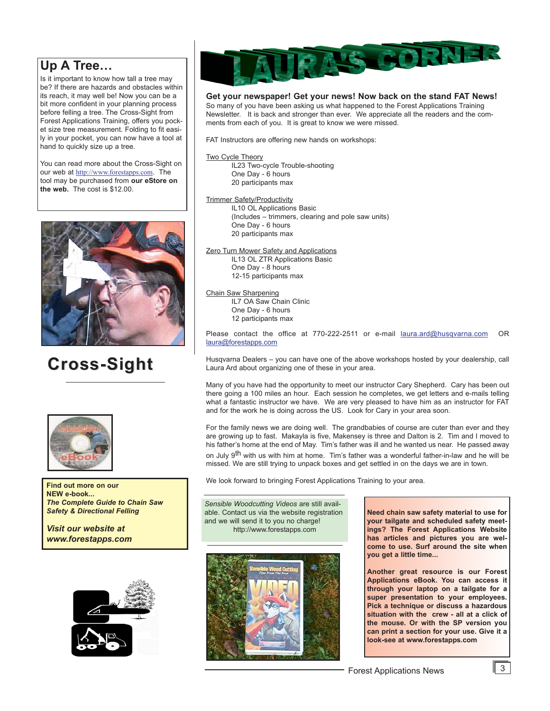# **Up A Tree…**

Is it important to know how tall a tree may be? If there are hazards and obstacles within its reach, it may well be! Now you can be a bit more confident in your planning process before felling a tree. The Cross-Sight from Forest Applications Training, offers you pocket size tree measurement. Folding to fit easily in your pocket, you can now have a tool at hand to quickly size up a tree.

You can read more about the Cross-Sight on our web at http://www.forestapps.com. The tool may be purchased from **our eStore on the web.** The cost is \$12.00.



# **Cross-Sight Cross-Sight**



**Find out more on our NEW e-book...** *The Complete Guide to Chain Saw Safety & Directional Felling* 

*Visit our website at www.forestapps.com*





#### **Get your newspaper! Get your news! Now back on the stand FAT News!**

So many of you have been asking us what happened to the Forest Applications Training Newsletter. It is back and stronger than ever. We appreciate all the readers and the comments from each of you. It is great to know we were missed.

FAT Instructors are offering new hands on workshops:

#### Two Cycle Theory

IL23 Two-cycle Trouble-shooting One Day - 6 hours 20 participants max

Trimmer Safety/Productivity

IL10 OL Applications Basic (Includes – trimmers, clearing and pole saw units) One Day - 6 hours 20 participants max

#### **Zero Turn Mower Safety and Applications**

IL13 OL ZTR Applications Basic One Day - 8 hours 12-15 participants max

#### Chain Saw Sharpening

IL7 OA Saw Chain Clinic One Day - 6 hours 12 participants max

Please contact the office at 770-222-2511 or e-mail laura.ard@husqvarna.com OR laura@forestapps.com

Husqvarna Dealers – you can have one of the above workshops hosted by your dealership, call Laura Ard about organizing one of these in your area.

Many of you have had the opportunity to meet our instructor Cary Shepherd. Cary has been out there going a 100 miles an hour. Each session he completes, we get letters and e-mails telling what a fantastic instructor we have. We are very pleased to have him as an instructor for FAT and for the work he is doing across the US. Look for Cary in your area soon.

For the family news we are doing well. The grandbabies of course are cuter than ever and they are growing up to fast. Makayla is five, Makensey is three and Dalton is 2. Tim and I moved to his father's home at the end of May. Tim's father was ill and he wanted us near. He passed away on July 9<sup>th</sup> with us with him at home. Tim's father was a wonderful father-in-law and he will be missed. We are still trying to unpack boxes and get settled in on the days we are in town.

We look forward to bringing Forest Applications Training to your area.

*Sensible Woodcutting Videos* are still available. Contact us via the website registration and we will send it to you no charge! http://www.forestapps.com



**Need chain saw safety material to use for your tailgate and scheduled safety meetings? The Forest Applications Website has articles and pictures you are welcome to use. Surf around the site when you get a little time...**

**Another great resource is our Forest Applications eBook. You can access it through your laptop on a tailgate for a super presentation to your employees. Pick a technique or discuss a hazardous situation with the crew - all at a click of the mouse. Or with the SP version you can print a section for your use. Give it a look-see at www.forestapps.com**

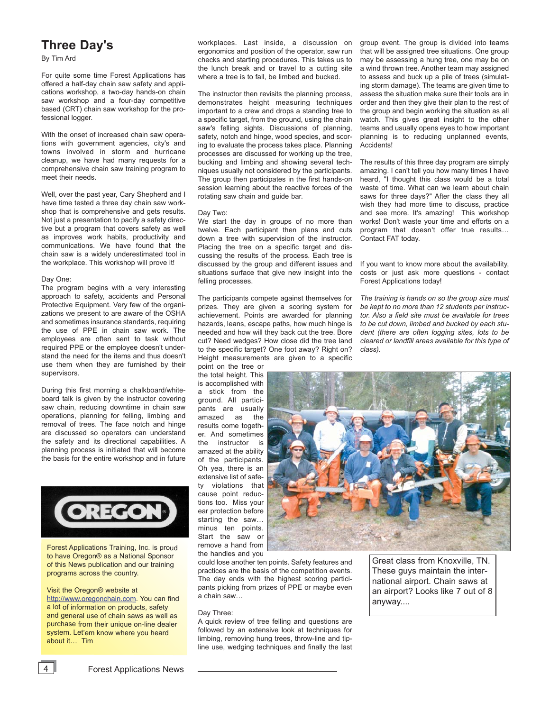# **Three Day's**

By Tim Ard

For quite some time Forest Applications has offered a half-day chain saw safety and applications workshop, a two-day hands-on chain saw workshop and a four-day competitive based (CRT) chain saw workshop for the professional logger.

With the onset of increased chain saw operations with government agencies, city's and towns involved in storm and hurricane cleanup, we have had many requests for a comprehensive chain saw training program to meet their needs.

Well, over the past year, Cary Shepherd and I have time tested a three day chain saw workshop that is comprehensive and gets results. Not just a presentation to pacify a safety directive but a program that covers safety as well as improves work habits, productivity and communications. We have found that the chain saw is a widely underestimated tool in the workplace. This workshop will prove it!

#### Day One:

The program begins with a very interesting approach to safety, accidents and Personal Protective Equipment. Very few of the organizations we present to are aware of the OSHA and sometimes insurance standards, requiring the use of PPE in chain saw work. The employees are often sent to task without required PPE or the employee doesn't understand the need for the items and thus doesn't use them when they are furnished by their supervisors.

During this first morning a chalkboard/whiteboard talk is given by the instructor covering saw chain, reducing downtime in chain saw operations, planning for felling, limbing and removal of trees. The face notch and hinge are discussed so operators can understand the safety and its directional capabilities. A planning process is initiated that will become the basis for the entire workshop and in future



Forest Applications Training, Inc. is proud to have Oregon® as a National Sponsor of this News publication and our training programs across the country.

Visit the Oregon® website at

http://www.oregonchain.com. You can find a lot of information on products, safety and general use of chain saws as well as purchase from their unique on-line dealer system. Let'em know where you heard about it… Tim

workplaces. Last inside, a discussion on ergonomics and position of the operator, saw run checks and starting procedures. This takes us to the lunch break and or travel to a cutting site where a tree is to fall, be limbed and bucked.

The instructor then revisits the planning process, demonstrates height measuring techniques important to a crew and drops a standing tree to a specific target, from the ground, using the chain saw's felling sights. Discussions of planning, safety, notch and hinge, wood species, and scoring to evaluate the process takes place. Planning processes are discussed for working up the tree, bucking and limbing and showing several techniques usually not considered by the participants. The group then participates in the first hands-on session learning about the reactive forces of the rotating saw chain and guide bar.

#### Day Two:

We start the day in groups of no more than twelve. Each participant then plans and cuts down a tree with supervision of the instructor. Placing the tree on a specific target and discussing the results of the process. Each tree is discussed by the group and different issues and situations surface that give new insight into the felling processes.

The participants compete against themselves for prizes. They are given a scoring system for achievement. Points are awarded for planning hazards, leans, escape paths, how much hinge is needed and how will they back cut the tree. Bore cut? Need wedges? How close did the tree land to the specific target? One foot away? Right on? Height measurements are given to a specific

point on the tree or the total height. This is accomplished with a stick from the ground. All participants are usually amazed as the results come together. And sometimes the instructor is amazed at the ability of the participants. Oh yea, there is an extensive list of safety violations that cause point reductions too. Miss your ear protection before starting the saw… minus ten points. Start the saw or remove a hand from the handles and you



could lose another ten points. Safety features and practices are the basis of the competition events. The day ends with the highest scoring participants picking from prizes of PPE or maybe even a chain saw…

#### Day Three:

A quick review of tree felling and questions are followed by an extensive look at techniques for limbing, removing hung trees, throw-line and tipline use, wedging techniques and finally the last Great class from Knoxville, TN. These guys maintain the international airport. Chain saws at an airport? Looks like 7 out of 8 anyway....

group event. The group is divided into teams that will be assigned tree situations. One group may be assessing a hung tree, one may be on a wind thrown tree. Another team may assigned to assess and buck up a pile of trees (simulating storm damage). The teams are given time to assess the situation make sure their tools are in order and then they give their plan to the rest of the group and begin working the situation as all watch. This gives great insight to the other teams and usually opens eyes to how important planning is to reducing unplanned events, Accidents!

The results of this three day program are simply amazing. I can't tell you how many times I have heard, "I thought this class would be a total waste of time. What can we learn about chain saws for three days?" After the class they all wish they had more time to discuss, practice and see more. It's amazing! This workshop works! Don't waste your time and efforts on a program that doesn't offer true results… Contact FAT today.

If you want to know more about the availability, costs or just ask more questions - contact Forest Applications today!

*The training is hands on so the group size must be kept to no more than 12 students per instructor. Also a field site must be available for trees to be cut down, limbed and bucked by each student (there are often logging sites, lots to be cleared or landfill areas available for this type of class).*

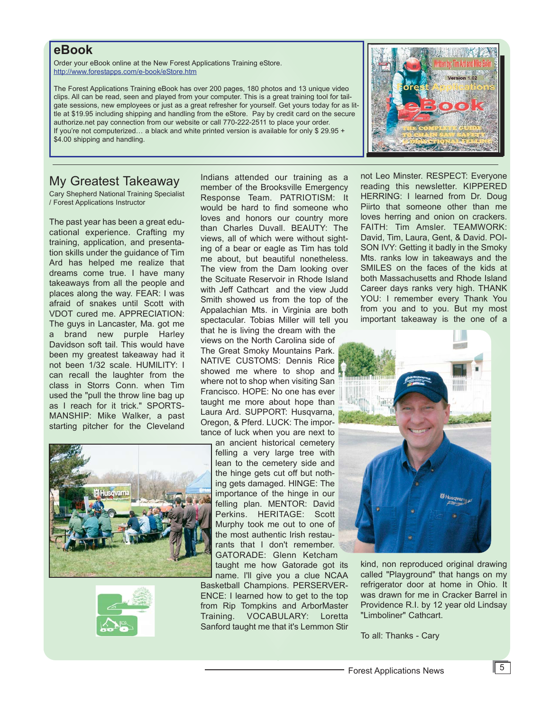## **eBook**

Order your eBook online at the New Forest Applications Training eStore. http://www.forestapps.com/e-book/eStore.htm

The Forest Applications Training eBook has over 200 pages, 180 photos and 13 unique video clips. All can be read, seen and played from your computer. This is a great training tool for tailgate sessions, new employees or just as a great refresher for yourself. Get yours today for as little at \$19.95 including shipping and handling from the eStore. Pay by credit card on the secure authorize.net pay connection from our website or call 770-222-2511 to place your order. If you're not computerized... a black and white printed version is available for only \$ 29.95 + \$4.00 shipping and handling.

# My Greatest Takeaway

Cary Shepherd National Training Specialist / Forest Applications Instructor

The past year has been a great educational experience. Crafting my training, application, and presentation skills under the guidance of Tim Ard has helped me realize that dreams come true. I have many takeaways from all the people and places along the way. FEAR: I was afraid of snakes until Scott with VDOT cured me. APPRECIATION: The guys in Lancaster, Ma. got me a brand new purple Harley Davidson soft tail. This would have been my greatest takeaway had it not been 1/32 scale. HUMILITY: I can recall the laughter from the class in Storrs Conn. when Tim used the "pull the throw line bag up as I reach for it trick." SPORTS-MANSHIP: Mike Walker, a past starting pitcher for the Cleveland





Indians attended our training as a member of the Brooksville Emergency Response Team. PATRIOTISM: It would be hard to find someone who loves and honors our country more than Charles Duvall. BEAUTY: The views, all of which were without sighting of a bear or eagle as Tim has told me about, but beautiful nonetheless. The view from the Dam looking over the Scituate Reservoir in Rhode Island with Jeff Cathcart and the view Judd Smith showed us from the top of the Appalachian Mts. in Virginia are both spectacular. Tobias Miller will tell you that he is living the dream with the

views on the North Carolina side of The Great Smoky Mountains Park. NATIVE CUSTOMS: Dennis Rice showed me where to shop and where not to shop when visiting San Francisco. HOPE: No one has ever taught me more about hope than Laura Ard. SUPPORT: Husqvarna, Oregon, & Pferd. LUCK: The importance of luck when you are next to

an ancient historical cemetery felling a very large tree with lean to the cemetery side and the hinge gets cut off but nothing gets damaged. HINGE: The importance of the hinge in our felling plan. MENTOR: David Perkins. HERITAGE: Scott Murphy took me out to one of the most authentic Irish restaurants that I don't remember. GATORADE: Glenn Ketcham

taught me how Gatorade got its name. I'll give you a clue NCAA Basketball Champions. PERSERVER-ENCE: I learned how to get to the top from Rip Tompkins and ArborMaster Training. VOCABULARY: Loretta Sanford taught me that it's Lemmon Stir

not Leo Minster. RESPECT: Everyone reading this newsletter. KIPPERED HERRING: I learned from Dr. Doug Piirto that someone other than me loves herring and onion on crackers. FAITH: Tim Amsler. TEAMWORK: David, Tim, Laura, Gent, & David. POI-SON IVY: Getting it badly in the Smoky Mts. ranks low in takeaways and the SMILES on the faces of the kids at both Massachusetts and Rhode Island Career days ranks very high. THANK YOU: I remember every Thank You from you and to you. But my most important takeaway is the one of a



kind, non reproduced original drawing called "Playground" that hangs on my refrigerator door at home in Ohio. It was drawn for me in Cracker Barrel in Providence R.I. by 12 year old Lindsay "Limboliner" Cathcart.

To all: Thanks - Cary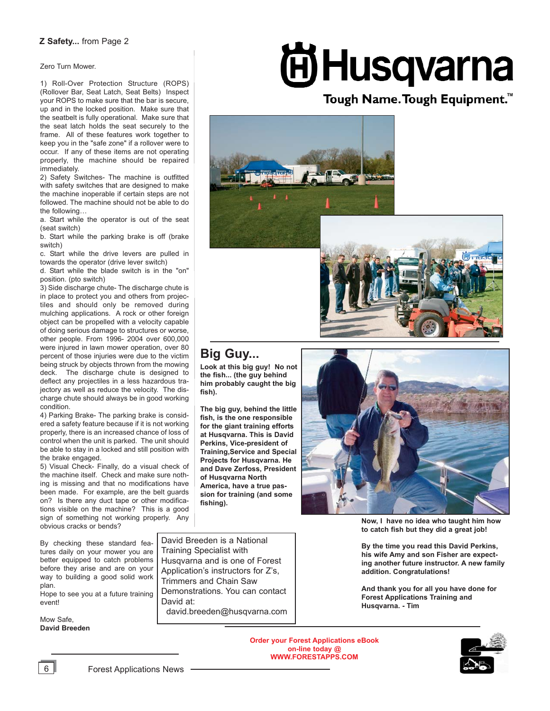#### **Z Safety...** from Page 2

Zero Turn Mower.

1) Roll-Over Protection Structure (ROPS) (Rollover Bar, Seat Latch, Seat Belts) Inspect your ROPS to make sure that the bar is secure, up and in the locked position. Make sure that the seatbelt is fully operational. Make sure that the seat latch holds the seat securely to the frame. All of these features work together to keep you in the "safe zone" if a rollover were to occur. If any of these items are not operating properly, the machine should be repaired immediately.

2) Safety Switches- The machine is outfitted with safety switches that are designed to make the machine inoperable if certain steps are not followed. The machine should not be able to do the following

a. Start while the operator is out of the seat (seat switch)

b. Start while the parking brake is off (brake switch)

c. Start while the drive levers are pulled in towards the operator (drive lever switch)

d. Start while the blade switch is in the "on" position. (pto switch)

3) Side discharge chute- The discharge chute is in place to protect you and others from projectiles and should only be removed during mulching applications. A rock or other foreign object can be propelled with a velocity capable of doing serious damage to structures or worse, other people. From 1996- 2004 over 600,000 were injured in lawn mower operation, over 80 percent of those injuries were due to the victim being struck by objects thrown from the mowing deck. The discharge chute is designed to deflect any projectiles in a less hazardous trajectory as well as reduce the velocity. The discharge chute should always be in good working condition.

4) Parking Brake- The parking brake is considered a safety feature because if it is not working properly, there is an increased chance of loss of control when the unit is parked. The unit should be able to stay in a locked and still position with the brake engaged.

5) Visual Check- Finally, do a visual check of the machine itself. Check and make sure nothing is missing and that no modifications have been made. For example, are the belt guards on? Is there any duct tape or other modifications visible on the machine? This is a good sign of something not working properly. Any obvious cracks or bends?

By checking these standard features daily on your mower you are better equipped to catch problems before they arise and are on your way to building a good solid work plan.

Hope to see you at a future training event!

Mow Safe, **David Breeden** David Breeden is a National Training Specialist with Husqvarna and is one of Forest Application's instructors for Z's, Trimmers and Chain Saw Demonstrations. You can contact David at:

david.breeden@husqvarna.com

# **AHusqvarna**

# Tough Name. Tough Equipment.<sup>™</sup>





# **Big Guy...**

**Look at this big guy! No not the fish... (the guy behind him probably caught the big fish).** 

**The big guy, behind the little fish, is the one responsible for the giant training efforts at Husqvarna. This is David Perkins, Vice-president of Training,Service and Special Projects for Husqvarna. He and Dave Zerfoss, President of Husqvarna North America, have a true passion for training (and some fishing).** 



**Now, I have no idea who taught him how to catch fish but they did a great job!**

**By the time you read this David Perkins, his wife Amy and son Fisher are expecting another future instructor. A new family addition. Congratulations!** 

**And thank you for all you have done for Forest Applications Training and Husqvarna. - Tim**

**Order your Forest Applications eBook on-line today @ WWW.FORESTAPPS.COM**



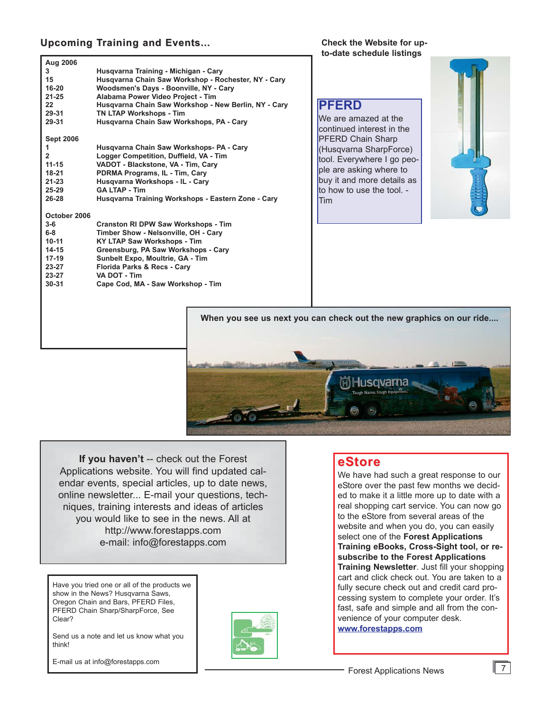## **Upcoming Training and Events...**

**Check the Website for upto-date schedule listings**

| Aug 2006         |                                                      |
|------------------|------------------------------------------------------|
| 3                | Husgvarna Training - Michigan - Cary                 |
| 15               | Husqvarna Chain Saw Workshop - Rochester, NY - Cary  |
| 16-20            | Woodsmen's Days - Boonville, NY - Cary               |
| $21 - 25$        | Alabama Power Video Project - Tim                    |
| 22               | Husgvarna Chain Saw Workshop - New Berlin, NY - Cary |
| 29-31            | <b>TN LTAP Workshops - Tim</b>                       |
| 29-31            | Husgvarna Chain Saw Workshops, PA - Cary             |
| <b>Sept 2006</b> |                                                      |
| 1                | Husgvarna Chain Saw Workshops- PA - Cary             |
| $\overline{2}$   | Logger Competition, Duffield, VA - Tim               |
| $11 - 15$        | VADOT - Blackstone, VA - Tim, Cary                   |
| $18-21$          | PDRMA Programs, IL - Tim, Cary                       |
| $21 - 23$        | Husqvarna Workshops - IL - Cary                      |
| 25-29            | <b>GA LTAP - Tim</b>                                 |
| 26-28            | Husqvarna Training Workshops - Eastern Zone - Cary   |
| October 2006     |                                                      |
| $3-6$            | <b>Cranston RI DPW Saw Workshops - Tim</b>           |
| $6-8$            | Timber Show - Nelsonville, OH - Cary                 |
| $10 - 11$        | <b>KY LTAP Saw Workshops - Tim</b>                   |
| 14-15            | Greensburg, PA Saw Workshops - Cary                  |
| $17-19$          | Sunbelt Expo, Moultrie, GA - Tim                     |
| 23-27            | Florida Parks & Recs - Cary                          |
| 23-27            | VA DOT - Tim                                         |
| $30 - 31$        | Cape Cod, MA - Saw Workshop - Tim                    |
|                  |                                                      |
|                  |                                                      |
|                  |                                                      |

# **PFERD**

We are amazed at the continued interest in the PFERD Chain Sharp (Husqvarna SharpForce) tool. Everywhere I go people are asking where to buy it and more details as to how to use the tool. - Tim



**When you see us next you can check out the new graphics on our ride....**



**If you haven't** -- check out the Forest Applications website. You will find updated calendar events, special articles, up to date news, online newsletter... E-mail your questions, techniques, training interests and ideas of articles you would like to see in the news. All at http://www.forestapps.com e-mail: info@forestapps.com

Have you tried one or all of the products we show in the News? Husqvarna Saws, Oregon Chain and Bars, PFERD Files, PFERD Chain Sharp/SharpForce, See Clear?

Send us a note and let us know what you think!





## **eStore**

We have had such a great response to our eStore over the past few months we decided to make it a little more up to date with a real shopping cart service. You can now go to the eStore from several areas of the website and when you do, you can easily select one of the **Forest Applications Training eBooks, Cross-Sight tool, or resubscribe to the Forest Applications Training Newsletter**. Just fill your shopping cart and click check out. You are taken to a fully secure check out and credit card processing system to complete your order. It's fast, safe and simple and all from the convenience of your computer desk. **www.forestapps.com**

 $\sqrt{7}$